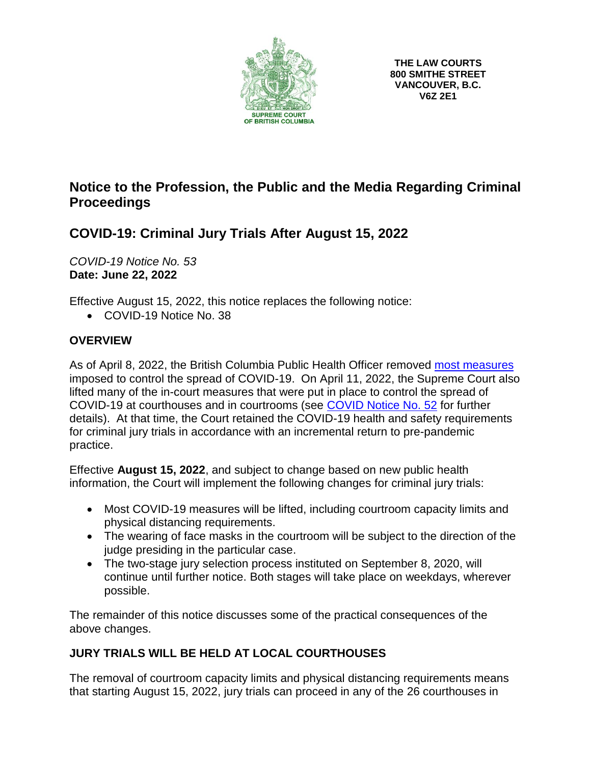

# **Notice to the Profession, the Public and the Media Regarding Criminal Proceedings**

# **COVID-19: Criminal Jury Trials After August 15, 2022**

*COVID-19 Notice No. 53* **Date: June 22, 2022**

Effective August 15, 2022, this notice replaces the following notice:

• COVID-19 Notice No. 38

## **OVERVIEW**

As of April 8, 2022, the British Columbia Public Health Officer removed most [measures](https://www2.gov.bc.ca/gov/content/covid-19/info/restrictions) imposed to control the spread of COVID-19. On April 11, 2022, the Supreme Court also lifted many of the in-court measures that were put in place to control the spread of COVID-19 at courthouses and in courtrooms (see [COVID Notice No. 52](https://www.bccourts.ca/supreme_court/documents/COVID-19_Notice_No.52_Lifting_of_Courthouse_and_Courtroom_Pandemic_Measures.pdf) for further details). At that time, the Court retained the COVID-19 health and safety requirements for criminal jury trials in accordance with an incremental return to pre-pandemic practice.

Effective **August 15, 2022**, and subject to change based on new public health information, the Court will implement the following changes for criminal jury trials:

- Most COVID-19 measures will be lifted, including courtroom capacity limits and physical distancing requirements.
- The wearing of face masks in the courtroom will be subject to the direction of the judge presiding in the particular case.
- The two-stage jury selection process instituted on September 8, 2020, will continue until further notice. Both stages will take place on weekdays, wherever possible.

The remainder of this notice discusses some of the practical consequences of the above changes.

## **JURY TRIALS WILL BE HELD AT LOCAL COURTHOUSES**

The removal of courtroom capacity limits and physical distancing requirements means that starting August 15, 2022, jury trials can proceed in any of the 26 courthouses in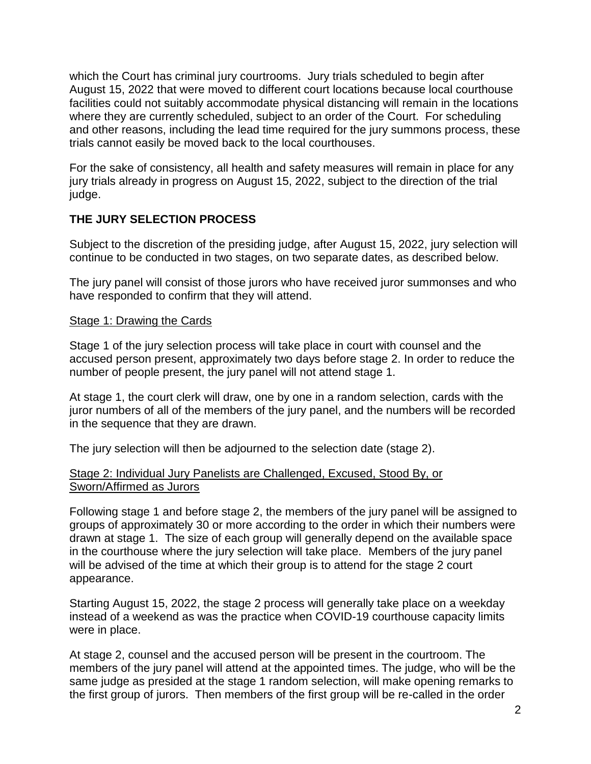which the Court has criminal jury courtrooms. Jury trials scheduled to begin after August 15, 2022 that were moved to different court locations because local courthouse facilities could not suitably accommodate physical distancing will remain in the locations where they are currently scheduled, subject to an order of the Court. For scheduling and other reasons, including the lead time required for the jury summons process, these trials cannot easily be moved back to the local courthouses.

For the sake of consistency, all health and safety measures will remain in place for any jury trials already in progress on August 15, 2022, subject to the direction of the trial judge.

## **THE JURY SELECTION PROCESS**

Subject to the discretion of the presiding judge, after August 15, 2022, jury selection will continue to be conducted in two stages, on two separate dates, as described below.

The jury panel will consist of those jurors who have received juror summonses and who have responded to confirm that they will attend.

## Stage 1: Drawing the Cards

Stage 1 of the jury selection process will take place in court with counsel and the accused person present, approximately two days before stage 2. In order to reduce the number of people present, the jury panel will not attend stage 1.

At stage 1, the court clerk will draw, one by one in a random selection, cards with the juror numbers of all of the members of the jury panel, and the numbers will be recorded in the sequence that they are drawn.

The jury selection will then be adjourned to the selection date (stage 2).

### Stage 2: Individual Jury Panelists are Challenged, Excused, Stood By, or Sworn/Affirmed as Jurors

Following stage 1 and before stage 2, the members of the jury panel will be assigned to groups of approximately 30 or more according to the order in which their numbers were drawn at stage 1. The size of each group will generally depend on the available space in the courthouse where the jury selection will take place. Members of the jury panel will be advised of the time at which their group is to attend for the stage 2 court appearance.

Starting August 15, 2022, the stage 2 process will generally take place on a weekday instead of a weekend as was the practice when COVID-19 courthouse capacity limits were in place.

At stage 2, counsel and the accused person will be present in the courtroom. The members of the jury panel will attend at the appointed times. The judge, who will be the same judge as presided at the stage 1 random selection, will make opening remarks to the first group of jurors. Then members of the first group will be re-called in the order